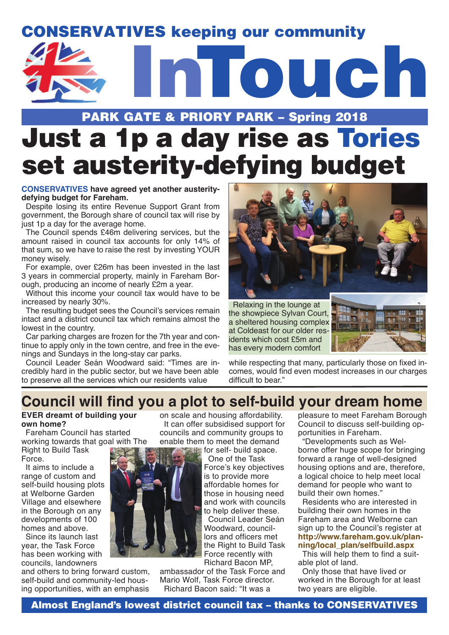# CONSERVATIVES keeping our community



# PARK GATE & PRIORY PARK – Spring 2018 Just a 1p a day rise as Tories set austerity-defying budget

#### **CONSERVATIVES have agreed yet another austeritydefying budget for Fareham.**

Despite losing its entire Revenue Support Grant from government, the Borough share of council tax will rise by just 1p a day for the average home.

The Council spends £46m delivering services, but the amount raised in council tax accounts for only 14% of that sum, so we have to raise the rest by investing YOUR money wisely.

For example, over £26m has been invested in the last 3 years in commercial property, mainly in Fareham Borough, producing an income of nearly £2m a year.

Without this income your council tax would have to be increased by nearly 30%.

The resulting budget sees the Council's services remain intact and a district council tax which remains almost the lowest in the country.

Car parking charges are frozen for the 7th year and continue to apply only in the town centre, and free in the evenings and Sundays in the long-stay car parks.

Council Leader Seán Woodward said: "Times are incredibly hard in the public sector, but we have been able to preserve all the services which our residents value



Relaxing in the lounge at the showpiece Sylvan Court, a sheltered housing complex at Coldeast for our older residents which cost £5m and has every modern comfort



while respecting that many, particularly those on fixed incomes, would find even modest increases in our charges difficult to bear."

# **Council will find you a plot to self-build your dream home**

#### **EVER dreamt of building your own home?**

Fareham Council has started working towards that goal with The

Right to Build Task Force.

It aims to include a range of custom and self-build housing plots at Welborne Garden Village and elsewhere in the Borough on any developments of 100 homes and above.

Since its launch last year, the Task Force has been working with councils, landowners

and others to bring forward custom, self-build and community-led housing opportunities, with an emphasis

on scale and housing affordability. It can offer subsidised support for councils and community groups to enable them to meet the demand

> for self- build space. One of the Task Force's key objectives is to provide more affordable homes for those in housing need and work with councils to help deliver these. Council Leader Seán Woodward, councillors and officers met the Right to Build Task Force recently with Richard Bacon MP,

ambassador of the Task Force and Mario Wolf, Task Force director. Richard Bacon said: "It was a

pleasure to meet Fareham Borough Council to discuss self-building opportunities in Fareham.

"Developments such as Welborne offer huge scope for bringing forward a range of well-designed housing options and are, therefore, a logical choice to help meet local demand for people who want to build their own homes."

Residents who are interested in building their own homes in the Fareham area and Welborne can sign up to the Council's register at **http://www.fareham.gov.uk/planning/local\_plan/selfbuild.aspx**

This will help them to find a suitable plot of land.

Only those that have lived or worked in the Borough for at least two years are eligible.

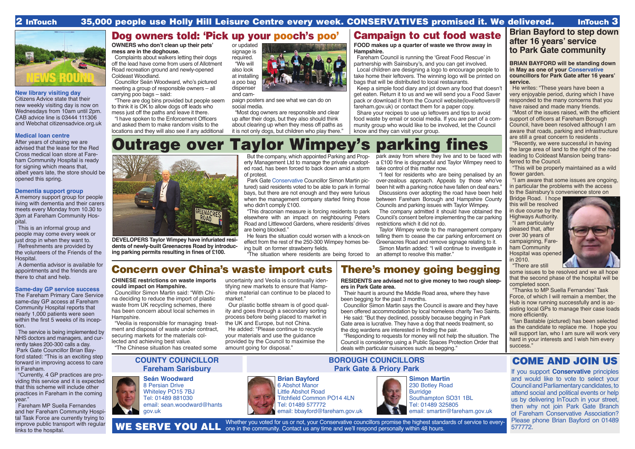### **New library visiting day**

Citizens Advice state that their new weekly visiting day is now on Wednesdays from 10am until 2pm. CAB advice line is 03444 111306 and Webchat citizensadvice.org.uk

### **Medical loan centre**

After years of chasing we are advised that the lease for the Red Cross medical loan store at Fareham Community Hospital is ready for signing which means that, albeit years late, the store should be opened this spring.

### **Dementia support group**

A memory support group for people living with dementia and their carers meets every Monday from 10.30 to 3pm at Fareham Community Hospital.

This is an informal group and people may come every week or just drop in when they want to.

Refreshments are provided by the volunteers of the Friends of the Hospital.

A dementia advisor is available for appointments and the friends are there to chat and help.

### **Same-day GP service success**

The Fareham Primary Care Service same-day GP access at Fareham Community Hospital reports that nearly 1,000 patients were seen within the first 5 weeks of its inception.

The service is being implemented by NHS doctors and managers, and currently takes 200-300 calls a day. Park Gate Councillor Brian Bayford stated: "This is an exciting step forward in improving access to care in Fareham.

"Currently, 4 GP practices are providing this service and it is expected that this scheme will include other practices in Fareham in the coming year."

Fareham MP Suella Fernandes and her Fareham Community Hospital Task Force are currently trying to improve public transport with regular links to the hospital.

# Dog owners told: 'Pick up your pooch's poo' | Campaign to cut food waste

"Responding to requests for money will not help the situation. The Council is considering using a Public Spaces Protection Order that deals with particular nuisances such as begging."

# **Seán Woodward**





8 Persian Drive Whiteley PO15 7BJ Tel: 01489 881030 email: sean.woodward@hants gov.uk

### **COUNTY COUNCILLOR Fareham Sarisbury**



### **BOROUGH COUNCILLORS Park Gate & Priory Park**



## COME AND JOIN US

If you support **Conservative** principles and would like to vote to select your Council and Parliamentary candidates, to attend social and political events or help us by delivering InTouch in your street, then why not join Park Gate Branch of Fareham Conservative Association? Please phone Brian Bayford on 01489 577772.





6 Abshot Manor Little Abshot Road Titchfield Common PO14 4LN Tel: 01489 577772

email: bbayford@fareham.gov.uk

### 2 InTouch 35,000 people use Holly Hill Leisure Centre every week. CONSERVATIVES promised it. We delivered. InTouch 3



# There's money going begging

**RESIDENTS are advised not to give money to two rough sleepers in Park Gate area.**

Their haunt is around the Middle Road area, where they have been begging for the past 3 months.

Councillor Simon Martin says the Council is aware and they have been offered accommodation by local homeless charity Two Saints. He said: "But they declined, possibly because begging in Park

Gate area is lucrative. They have a dog that needs treatment, so the dog wardens are interested in finding the pair.

He writes: "These years have been a very enjoyable period, during which I have responded to the many concerns that you have raised and made many friends.

# Concern over China's waste import cuts

**CHINESE restrictions on waste imports could impact on Hampshire.**

"This will be properly maintained as a wild flower garden.

Councilllor Simon Martin said: "With China deciding to reduce the import of plastic waste from UK recycling schemes, there has been concern about local schemes in Hampshire.

"Veolia is responsible for managing treatment and disposal of waste under contract, securing markets for the materials collected and achieving best value.

"The Chinese situation has created some

uncertainty and Veolia is continually identifying new markets to ensure that Hampshire material can continue to be placed to market." Our plastic bottle stream is of good qual-

ity and goes through a secondary sorting process before being placed to market in the UK and Europe, but not China. He added: "Please continue to recycle your materials and use the guidance

provided by the Council to maximise the

amount going for disposal."

**OWNERS who don't clean up their pets' mess are in the doghouse.**

Complaints about walkers letting their dogs off the lead have come from users of Allotment Road recreation ground and newly-opened Coldeast Woodland.

Councillor Seán Woodward, who's pictured meeting a group of responsible owners – all carrying poo bags – said:

"There are dog bins provided but people seem to think it is OK to allow dogs off leads who mess just off the paths and leave it there.

"I have spoken to the Enforcement Officers and asked them to make random visits to the locations and they will also see if any additional



and campaign posters and see what we can do on social media.

"Most dog owners are responsible and clear up after their dogs, but they also should think about clearing up when they mess off paths as it is not only dogs, but children who play there."

**FOOD makes up a quarter of waste we throw away in Hampshire.**

Fareham Council is running the 'Great Food Rescue' in partnership with Sainsbury's, and you can get involved.

Local children are designing a logo to encourage people to take home their leftovers. The winning logo will be printed on bags that will be distributed to local restaurants.

Keep a simple food diary and jot down any food that doesn't get eaten. Return it to us and we will send you a Food Saver pack or download it from the Council website(loveleftovers@ fareham.gov.uk) or contact them for a paper copy.

Share your recipes to use up leftovers and tips to avoid food waste by email or social media. If you are part of a community group who would like to be involved, let the Council know and they can visit your group.

> **Simon Martin** 230 Botley Road **Burridge** Southampton SO31 1BL Tel: 01489 325805 email: smartin@fareham.gov.uk

Whether you voted for us or not, your Conservative councillors promise the highest standards of service to every-WE SERVE YOU ALL one in the community. Contact us any time and we'll respond personally within 48 hours.

### **Brian Bayford to step down after 16 years' service to Park Gate community**

**BRIAN BAYFORD will be standing down in May as one of your Conservative councillors for Park Gate after 16 years' service.**

"Most of the issues raised, with the efficient support of officers at Fareham Borough Council, have been resolved although I am aware that roads, parking and infrastructure are still a great concern to residents .

"Recently, we were successful in having the large area of land to the right of the road leading to Coldeast Mansion being transferred to the Council.

"I am aware that some issues are ongoing, in particular the problems with the access to the Sainsbury's convenience store on

Bridge Road. I hope this will be resolved in due course by the Highways Authority.

"I am particularly pleased that, after over 30 years of campaigning, Fareham Community Hospital was opened in 2010.

"There are still



some issues to be resolved and we all hope that the second phase of the hospital will be completed soon.

"Thanks to MP Suella Fernandes' Task Force, of which I will remain a member, the Hub is now running successfully and is assisting local GPs to manage their case loads more efficiently.

"Ian Bastable (pictured) has been selected as the candidate to replace me. I hope you will support Ian, who I am sure will work very hard in your interests and I wish him every success."

# Outrage over Taylor Wimpey's parking fines



**DEVELOPERS Taylor Wimpey have infuriated residents of newly-built Greenacres Road by introducing parking permits resulting in fines of £100.**

But the company, which appointed Parking and Property Management Ltd to manage the private unadopted road, has been forced to back down amid a storm of protest.

Park Gate Conservative Councillor Simon Martin pictured) said residents voted to be able to park in formal bays, but there are not enough and they were furious when the management company started fining those who didn't comply £100.

"This draconian measure is forcing residents to park elsewhere with an impact on neighbouring Peters Road and Littlewood Gardens, where residents' drives are being blocked."

He fears the situation could worsen with a knock-on effect from the rest of the 250-300 Wimpey homes being built on former strawberry fields.

"The situation where residents are being forced to

park away from where they live and to be faced with a £100 fine is disgraceful and Taylor Wimpey need to take control of this matter now.

"I feel for residents who are being penalised by an over-zealous approach. Appeals by those who've been hit with a parking notice have fallen on deaf ears."

Discussions over adopting the road have been held between Fareham Borough and Hampshire County Councils and parking issues with Taylor Wimpey.

The company admitted it should have obtained the Council's consent before implementing the car parking restrictions which it did not do.

Taylor Wimpey wrote to the management company telling them to cease the car parking enforcement on Greenacres Road and remove signage relating to it. Simon Martin added: "I will continue to investigate in an attempt to resolve this matter."